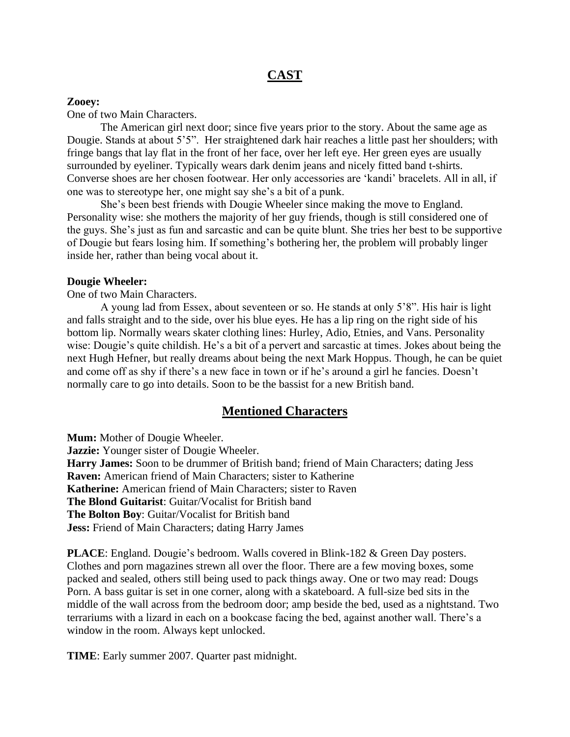# **CAST**

# **Zooey:**

One of two Main Characters.

The American girl next door; since five years prior to the story. About the same age as Dougie. Stands at about 5'5". Her straightened dark hair reaches a little past her shoulders; with fringe bangs that lay flat in the front of her face, over her left eye. Her green eyes are usually surrounded by eyeliner. Typically wears dark denim jeans and nicely fitted band t-shirts. Converse shoes are her chosen footwear. Her only accessories are 'kandi' bracelets. All in all, if one was to stereotype her, one might say she's a bit of a punk.

She's been best friends with Dougie Wheeler since making the move to England. Personality wise: she mothers the majority of her guy friends, though is still considered one of the guys. She's just as fun and sarcastic and can be quite blunt. She tries her best to be supportive of Dougie but fears losing him. If something's bothering her, the problem will probably linger inside her, rather than being vocal about it.

# **Dougie Wheeler:**

One of two Main Characters.

A young lad from Essex, about seventeen or so. He stands at only 5'8". His hair is light and falls straight and to the side, over his blue eyes. He has a lip ring on the right side of his bottom lip. Normally wears skater clothing lines: Hurley, Adio, Etnies, and Vans. Personality wise: Dougie's quite childish. He's a bit of a pervert and sarcastic at times. Jokes about being the next Hugh Hefner, but really dreams about being the next Mark Hoppus. Though, he can be quiet and come off as shy if there's a new face in town or if he's around a girl he fancies. Doesn't normally care to go into details. Soon to be the bassist for a new British band.

# **Mentioned Characters**

**Mum:** Mother of Dougie Wheeler. **Jazzie:** Younger sister of Dougie Wheeler. **Harry James:** Soon to be drummer of British band; friend of Main Characters; dating Jess **Raven:** American friend of Main Characters; sister to Katherine **Katherine:** American friend of Main Characters; sister to Raven **The Blond Guitarist**: Guitar/Vocalist for British band **The Bolton Boy**: Guitar/Vocalist for British band **Jess:** Friend of Main Characters; dating Harry James

**PLACE**: England. Dougie's bedroom. Walls covered in Blink-182 & Green Day posters. Clothes and porn magazines strewn all over the floor. There are a few moving boxes, some packed and sealed, others still being used to pack things away. One or two may read: Dougs Porn. A bass guitar is set in one corner, along with a skateboard. A full-size bed sits in the middle of the wall across from the bedroom door; amp beside the bed, used as a nightstand. Two terrariums with a lizard in each on a bookcase facing the bed, against another wall. There's a window in the room. Always kept unlocked.

**TIME**: Early summer 2007. Quarter past midnight.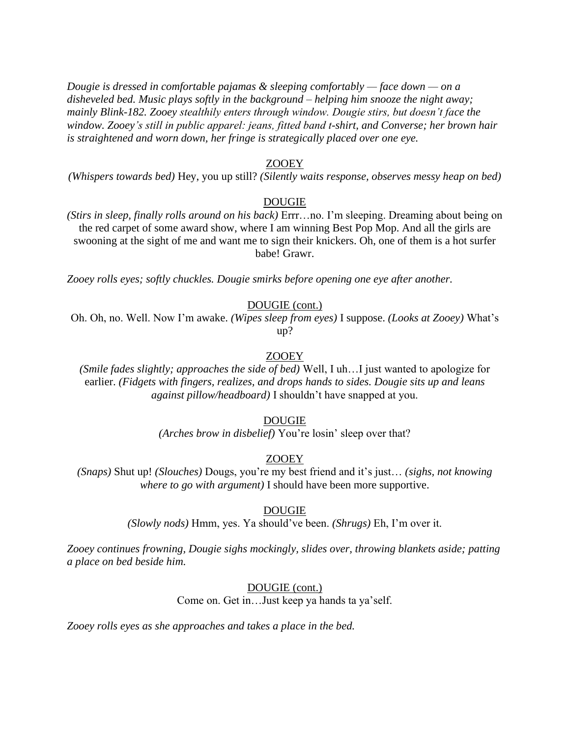*Dougie is dressed in comfortable pajamas & sleeping comfortably — face down — on a disheveled bed. Music plays softly in the background – helping him snooze the night away; mainly Blink-182. Zooey stealthily enters through window. Dougie stirs, but doesn't face the window. Zooey's still in public apparel: jeans, fitted band t-shirt, and Converse; her brown hair is straightened and worn down, her fringe is strategically placed over one eye.*

# ZOOEY

*(Whispers towards bed)* Hey, you up still? *(Silently waits response, observes messy heap on bed)*

## DOUGIE

*(Stirs in sleep, finally rolls around on his back)* Errr…no. I'm sleeping. Dreaming about being on the red carpet of some award show, where I am winning Best Pop Mop. And all the girls are swooning at the sight of me and want me to sign their knickers. Oh, one of them is a hot surfer babe! Grawr.

*Zooey rolls eyes; softly chuckles. Dougie smirks before opening one eye after another.*

## DOUGIE (cont.)

Oh. Oh, no. Well. Now I'm awake. *(Wipes sleep from eyes)* I suppose. *(Looks at Zooey)* What's up?

## ZOOEY

*(Smile fades slightly; approaches the side of bed)* Well, I uh…I just wanted to apologize for earlier. *(Fidgets with fingers, realizes, and drops hands to sides. Dougie sits up and leans against pillow/headboard)* I shouldn't have snapped at you.

#### DOUGIE

*(Arches brow in disbelief)* You're losin' sleep over that?

## ZOOEY

*(Snaps)* Shut up! *(Slouches)* Dougs, you're my best friend and it's just… *(sighs, not knowing where to go with argument)* I should have been more supportive.

## DOUGIE

*(Slowly nods)* Hmm, yes. Ya should've been. *(Shrugs)* Eh, I'm over it.

*Zooey continues frowning, Dougie sighs mockingly, slides over, throwing blankets aside; patting a place on bed beside him.*

## DOUGIE (cont.)

Come on. Get in…Just keep ya hands ta ya'self.

*Zooey rolls eyes as she approaches and takes a place in the bed.*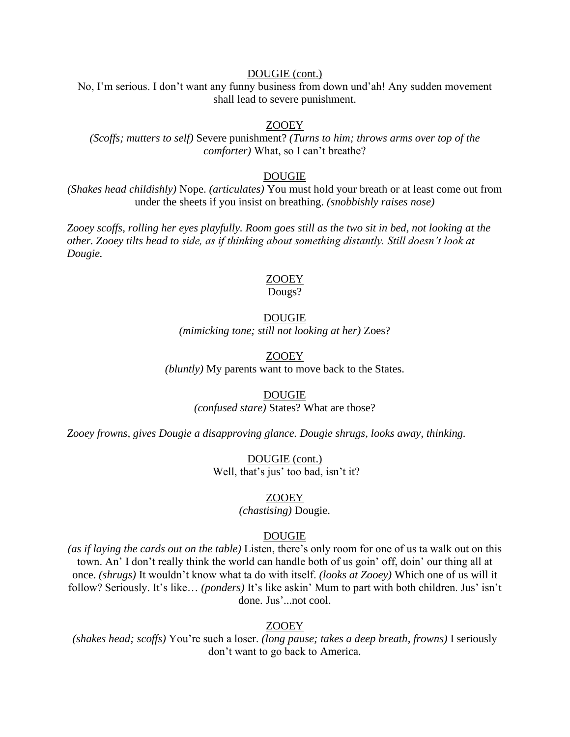# DOUGIE (cont.)

No, I'm serious. I don't want any funny business from down und'ah! Any sudden movement shall lead to severe punishment.

# ZOOEY

*(Scoffs; mutters to self)* Severe punishment? *(Turns to him; throws arms over top of the comforter)* What, so I can't breathe?

## DOUGIE

*(Shakes head childishly)* Nope. *(articulates)* You must hold your breath or at least come out from under the sheets if you insist on breathing. *(snobbishly raises nose)*

*Zooey scoffs, rolling her eyes playfully. Room goes still as the two sit in bed, not looking at the other. Zooey tilts head to side, as if thinking about something distantly. Still doesn't look at Dougie.*

# ZOOEY

Dougs?

# DOUGIE

*(mimicking tone; still not looking at her)* Zoes?

## ZOOEY

*(bluntly)* My parents want to move back to the States.

## DOUGIE

*(confused stare)* States? What are those?

*Zooey frowns, gives Dougie a disapproving glance. Dougie shrugs, looks away, thinking.*

DOUGIE (cont.) Well, that's jus' too bad, isn't it?

# ZOOEY

*(chastising)* Dougie.

## DOUGIE

*(as if laying the cards out on the table)* Listen, there's only room for one of us ta walk out on this town. An' I don't really think the world can handle both of us goin' off, doin' our thing all at once. *(shrugs)* It wouldn't know what ta do with itself. *(looks at Zooey)* Which one of us will it follow? Seriously. It's like… *(ponders)* It's like askin' Mum to part with both children. Jus' isn't done. Jus'...not cool.

## ZOOEY

*(shakes head; scoffs)* You're such a loser. *(long pause; takes a deep breath, frowns)* I seriously don't want to go back to America.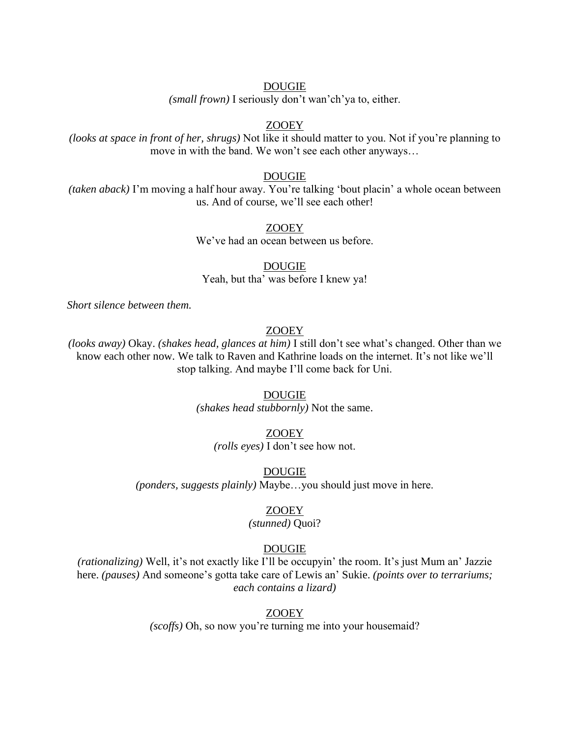*(small frown)* I seriously don't wan'ch'ya to, either.

# ZOOEY

*(looks at space in front of her, shrugs)* Not like it should matter to you. Not if you're planning to move in with the band. We won't see each other anyways…

## DOUGIE

*(taken aback)* I'm moving a half hour away. You're talking 'bout placin' a whole ocean between us. And of course, we'll see each other!

# ZOOEY

We've had an ocean between us before.

DOUGIE Yeah, but tha' was before I knew ya!

*Short silence between them.*

# ZOOEY

*(looks away)* Okay. *(shakes head, glances at him)* I still don't see what's changed. Other than we know each other now. We talk to Raven and Kathrine loads on the internet. It's not like we'll stop talking. And maybe I'll come back for Uni.

#### DOUGIE

*(shakes head stubbornly)* Not the same.

# ZOOEY

*(rolls eyes)* I don't see how not.

## DOUGIE

*(ponders, suggests plainly)* Maybe…you should just move in here.

## ZOOEY

## *(stunned)* Quoi?

# DOUGIE

*(rationalizing)* Well, it's not exactly like I'll be occupyin' the room. It's just Mum an' Jazzie here. *(pauses)* And someone's gotta take care of Lewis an' Sukie. *(points over to terrariums; each contains a lizard)*

## ZOOEY

*(scoffs)* Oh, so now you're turning me into your housemaid?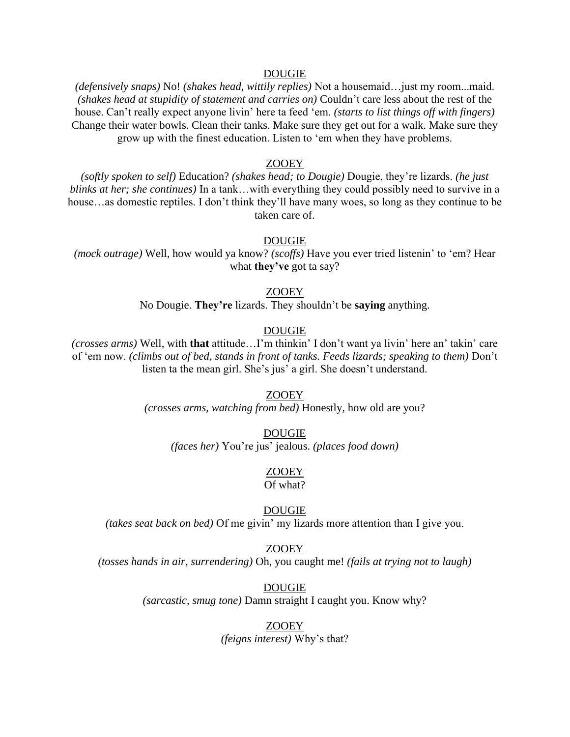*(defensively snaps)* No! *(shakes head, wittily replies)* Not a housemaid…just my room...maid. *(shakes head at stupidity of statement and carries on)* Couldn't care less about the rest of the house. Can't really expect anyone livin' here ta feed 'em. *(starts to list things off with fingers)* Change their water bowls. Clean their tanks. Make sure they get out for a walk. Make sure they grow up with the finest education. Listen to 'em when they have problems.

## ZOOEY

*(softly spoken to self)* Education? *(shakes head; to Dougie)* Dougie, they're lizards. *(he just blinks at her; she continues)* In a tank…with everything they could possibly need to survive in a house...as domestic reptiles. I don't think they'll have many woes, so long as they continue to be taken care of.

## DOUGIE

*(mock outrage)* Well, how would ya know? *(scoffs)* Have you ever tried listenin' to 'em? Hear what **they've** got ta say?

#### ZOOEY

No Dougie. **They're** lizards. They shouldn't be **saying** anything.

## DOUGIE

*(crosses arms)* Well, with **that** attitude…I'm thinkin' I don't want ya livin' here an' takin' care of 'em now. *(climbs out of bed, stands in front of tanks. Feeds lizards; speaking to them)* Don't listen ta the mean girl. She's jus' a girl. She doesn't understand.

#### ZOOEY

*(crosses arms, watching from bed)* Honestly, how old are you?

#### DOUGIE

*(faces her)* You're jus' jealous. *(places food down)*

# ZOOEY

Of what?

# DOUGIE

*(takes seat back on bed)* Of me givin' my lizards more attention than I give you.

#### ZOOEY

*(tosses hands in air, surrendering)* Oh, you caught me! *(fails at trying not to laugh)*

DOUGIE

*(sarcastic, smug tone)* Damn straight I caught you. Know why?

#### ZOOEY

*(feigns interest)* Why's that?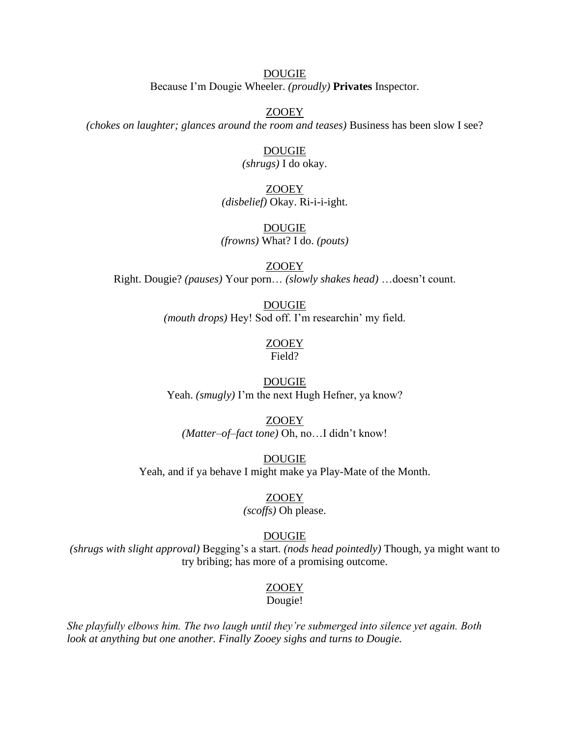# DOUGIE Because I'm Dougie Wheeler. *(proudly)* **Privates** Inspector.

ZOOEY

*(chokes on laughter; glances around the room and teases)* Business has been slow I see?

## DOUGIE

*(shrugs)* I do okay.

# ZOOEY

*(disbelief)* Okay. Ri-i-i-ight.

# DOUGIE *(frowns)* What? I do. *(pouts)*

ZOOEY Right. Dougie? *(pauses)* Your porn… *(slowly shakes head)* …doesn't count.

# DOUGIE *(mouth drops)* Hey! Sod off. I'm researchin' my field.

# ZOOEY

Field?

# DOUGIE Yeah. *(smugly)* I'm the next Hugh Hefner, ya know?

# ZOOEY *(Matter–of–fact tone)* Oh, no…I didn't know!

DOUGIE Yeah, and if ya behave I might make ya Play-Mate of the Month.

# ZOOEY

# *(scoffs)* Oh please.

# DOUGIE

*(shrugs with slight approval)* Begging's a start. *(nods head pointedly)* Though, ya might want to try bribing; has more of a promising outcome.

# ZOOEY

# Dougie!

*She playfully elbows him. The two laugh until they're submerged into silence yet again. Both look at anything but one another. Finally Zooey sighs and turns to Dougie.*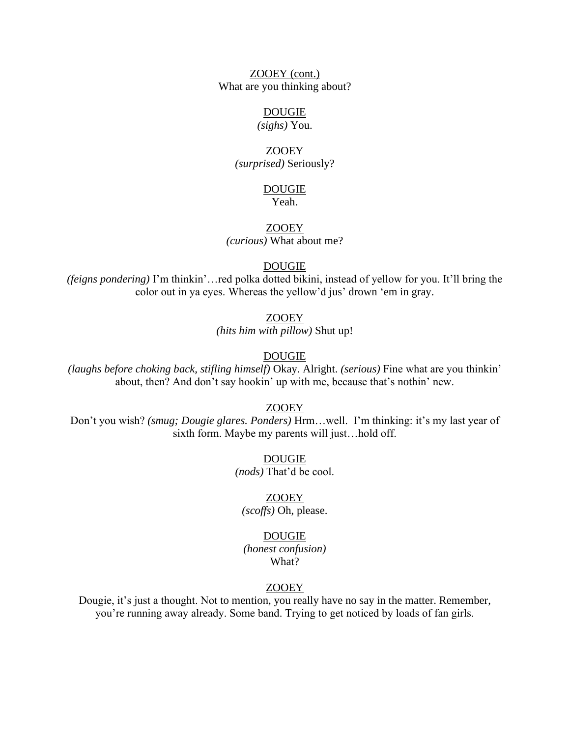ZOOEY (cont.) What are you thinking about?

## DOUGIE

*(sighs)* You.

## ZOOEY

*(surprised)* Seriously?

# DOUGIE

Yeah.

# ZOOEY *(curious)* What about me?

## DOUGIE

*(feigns pondering)* I'm thinkin'…red polka dotted bikini, instead of yellow for you. It'll bring the color out in ya eyes. Whereas the yellow'd jus' drown 'em in gray.

# ZOOEY

*(hits him with pillow)* Shut up!

# DOUGIE

*(laughs before choking back, stifling himself)* Okay. Alright. *(serious)* Fine what are you thinkin' about, then? And don't say hookin' up with me, because that's nothin' new.

# ZOOEY

Don't you wish? *(smug; Dougie glares. Ponders)* Hrm…well. I'm thinking: it's my last year of sixth form. Maybe my parents will just…hold off.

> DOUGIE *(nods)* That'd be cool.

## ZOOEY

*(scoffs)* Oh, please.

## DOUGIE

*(honest confusion)* What?

# ZOOEY

Dougie, it's just a thought. Not to mention, you really have no say in the matter. Remember, you're running away already. Some band. Trying to get noticed by loads of fan girls.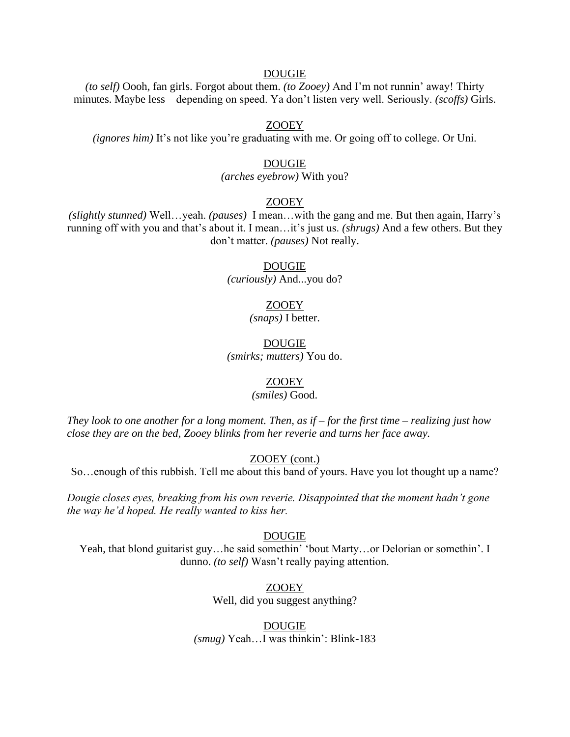*(to self)* Oooh, fan girls. Forgot about them. *(to Zooey)* And I'm not runnin' away! Thirty minutes. Maybe less – depending on speed. Ya don't listen very well. Seriously. *(scoffs)* Girls.

## ZOOEY

*(ignores him)* It's not like you're graduating with me. Or going off to college. Or Uni.

# DOUGIE

*(arches eyebrow)* With you?

# ZOOEY

*(slightly stunned)* Well…yeah. *(pauses)* I mean…with the gang and me. But then again, Harry's running off with you and that's about it. I mean…it's just us. *(shrugs)* And a few others. But they don't matter. *(pauses)* Not really.

## DOUGIE

*(curiously)* And...you do?

# ZOOEY

*(snaps)* I better.

## DOUGIE *(smirks; mutters)* You do.

## ZOOEY

## *(smiles)* Good.

*They look to one another for a long moment. Then, as if – for the first time – realizing just how close they are on the bed, Zooey blinks from her reverie and turns her face away.*

# ZOOEY (cont.)

So…enough of this rubbish. Tell me about this band of yours. Have you lot thought up a name?

*Dougie closes eyes, breaking from his own reverie. Disappointed that the moment hadn't gone the way he'd hoped. He really wanted to kiss her.*

#### DOUGIE

Yeah, that blond guitarist guy…he said somethin' 'bout Marty…or Delorian or somethin'. I dunno. *(to self)* Wasn't really paying attention.

ZOOEY

Well, did you suggest anything?

DOUGIE *(smug)* Yeah…I was thinkin': Blink-183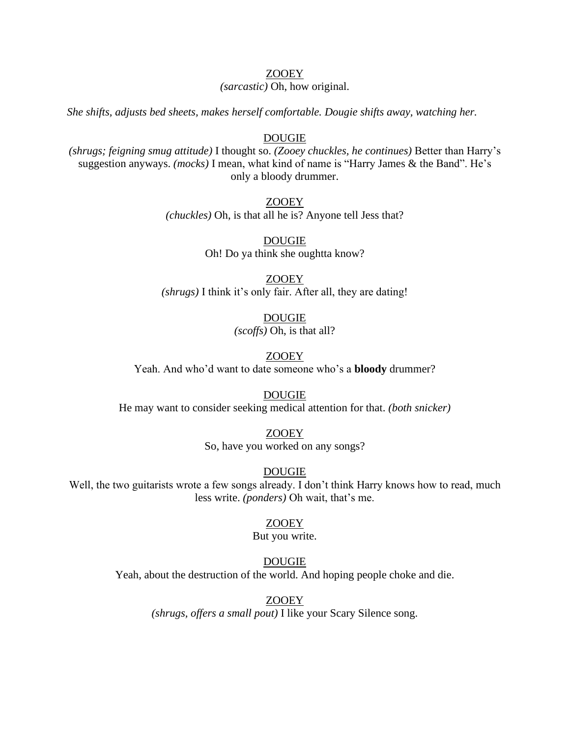# ZOOEY

*(sarcastic)* Oh, how original.

*She shifts, adjusts bed sheets, makes herself comfortable. Dougie shifts away, watching her.*

# DOUGIE

*(shrugs; feigning smug attitude)* I thought so. *(Zooey chuckles, he continues)* Better than Harry's suggestion anyways. *(mocks)* I mean, what kind of name is "Harry James & the Band". He's only a bloody drummer.

> ZOOEY *(chuckles)* Oh, is that all he is? Anyone tell Jess that?

> > DOUGIE Oh! Do ya think she oughtta know?

ZOOEY *(shrugs)* I think it's only fair. After all, they are dating!

> DOUGIE *(scoffs)* Oh, is that all?

ZOOEY Yeah. And who'd want to date someone who's a **bloody** drummer?

DOUGIE He may want to consider seeking medical attention for that. *(both snicker)*

> ZOOEY So, have you worked on any songs?

> > DOUGIE

Well, the two guitarists wrote a few songs already. I don't think Harry knows how to read, much less write. *(ponders)* Oh wait, that's me.

# ZOOEY

## But you write.

## DOUGIE

Yeah, about the destruction of the world. And hoping people choke and die.

ZOOEY

*(shrugs, offers a small pout)* I like your Scary Silence song.